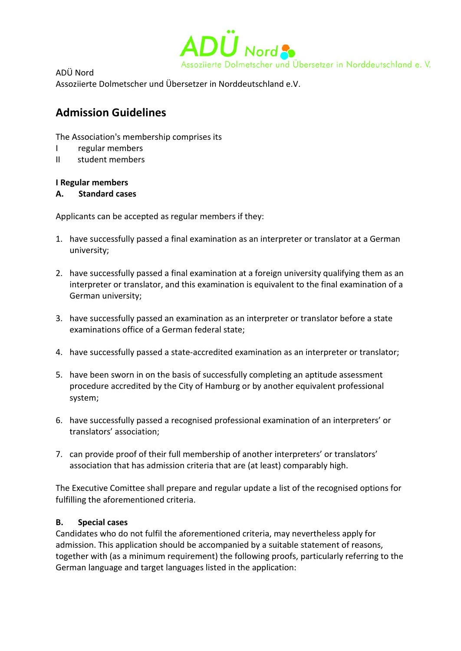

ADÜ Nord

Assoziierte Dolmetscher und Übersetzer in Norddeutschland e.V.

# **Admission Guidelines**

The Association's membership comprises its

- I regular members
- II student members

## **I Regular members**

## **A. Standard cases**

Applicants can be accepted as regular members if they:

- 1. have successfully passed a final examination as an interpreter or translator at a German university;
- 2. have successfully passed a final examination at a foreign university qualifying them as an interpreter or translator, and this examination is equivalent to the final examination of a German university;
- 3. have successfully passed an examination as an interpreter or translator before a state examinations office of a German federal state;
- 4. have successfully passed a state-accredited examination as an interpreter or translator;
- 5. have been sworn in on the basis of successfully completing an aptitude assessment procedure accredited by the City of Hamburg or by another equivalent professional system;
- 6. have successfully passed a recognised professional examination of an interpreters' or translators' association;
- 7. can provide proof of their full membership of another interpreters' or translators' association that has admission criteria that are (at least) comparably high.

The Executive Comittee shall prepare and regular update a list of the recognised options for fulfilling the aforementioned criteria.

## **B. Special cases**

Candidates who do not fulfil the aforementioned criteria, may nevertheless apply for admission. This application should be accompanied by a suitable statement of reasons, together with (as a minimum requirement) the following proofs, particularly referring to the German language and target languages listed in the application: